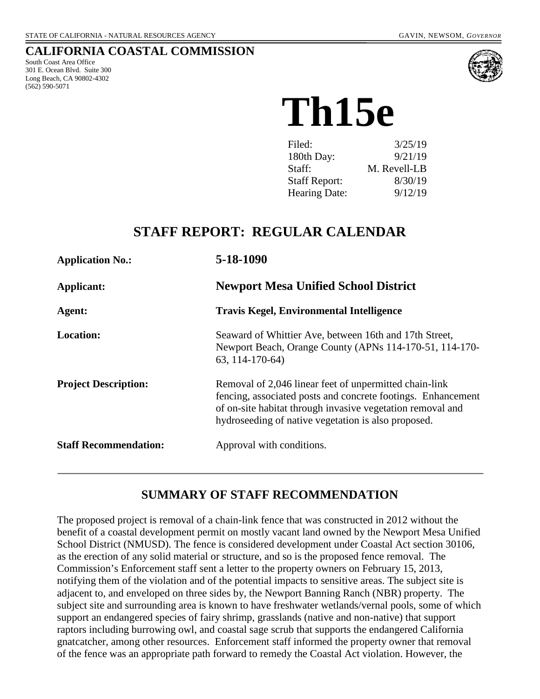#### **CALIFORNIA COASTAL COMMISSION**

South Coast Area Office 301 E. Ocean Blvd. Suite 300 Long Beach, CA 90802-4302 (562) 590-5071



# **Th15e**

| Filed:               | 3/25/19      |
|----------------------|--------------|
| 180th Day:           | 9/21/19      |
| Staff:               | M. Revell-LB |
| <b>Staff Report:</b> | 8/30/19      |
| <b>Hearing Date:</b> | 9/12/19      |

## **STAFF REPORT: REGULAR CALENDAR**

| <b>Application No.:</b>      | 5-18-1090                                                                                                                                                                                                                                   |
|------------------------------|---------------------------------------------------------------------------------------------------------------------------------------------------------------------------------------------------------------------------------------------|
| Applicant:                   | <b>Newport Mesa Unified School District</b>                                                                                                                                                                                                 |
| Agent:                       | <b>Travis Kegel, Environmental Intelligence</b>                                                                                                                                                                                             |
| <b>Location:</b>             | Seaward of Whittier Ave, between 16th and 17th Street,<br>Newport Beach, Orange County (APNs 114-170-51, 114-170-<br>63, 114-170-64)                                                                                                        |
| <b>Project Description:</b>  | Removal of 2,046 linear feet of unpermitted chain-link<br>fencing, associated posts and concrete footings. Enhancement<br>of on-site habitat through invasive vegetation removal and<br>hydroseeding of native vegetation is also proposed. |
| <b>Staff Recommendation:</b> | Approval with conditions.                                                                                                                                                                                                                   |

## **SUMMARY OF STAFF RECOMMENDATION**

The proposed project is removal of a chain-link fence that was constructed in 2012 without the benefit of a coastal development permit on mostly vacant land owned by the Newport Mesa Unified School District (NMUSD). The fence is considered development under Coastal Act section 30106, as the erection of any solid material or structure, and so is the proposed fence removal. The Commission's Enforcement staff sent a letter to the property owners on February 15, 2013, notifying them of the violation and of the potential impacts to sensitive areas. The subject site is adjacent to, and enveloped on three sides by, the Newport Banning Ranch (NBR) property. The subject site and surrounding area is known to have freshwater wetlands/vernal pools, some of which support an endangered species of fairy shrimp, grasslands (native and non-native) that support raptors including burrowing owl, and coastal sage scrub that supports the endangered California gnatcatcher, among other resources. Enforcement staff informed the property owner that removal of the fence was an appropriate path forward to remedy the Coastal Act violation. However, the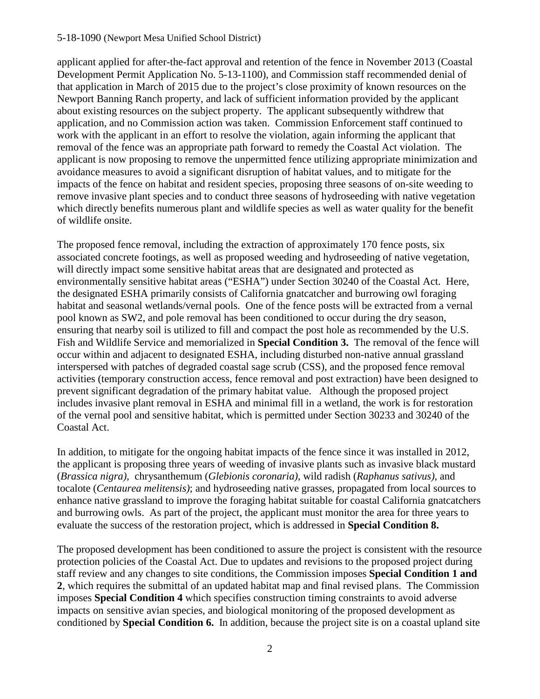#### 5-18-1090 (Newport Mesa Unified School District)

applicant applied for after-the-fact approval and retention of the fence in November 2013 (Coastal Development Permit Application No. 5-13-1100), and Commission staff recommended denial of that application in March of 2015 due to the project's close proximity of known resources on the Newport Banning Ranch property, and lack of sufficient information provided by the applicant about existing resources on the subject property. The applicant subsequently withdrew that application, and no Commission action was taken. Commission Enforcement staff continued to work with the applicant in an effort to resolve the violation, again informing the applicant that removal of the fence was an appropriate path forward to remedy the Coastal Act violation. The applicant is now proposing to remove the unpermitted fence utilizing appropriate minimization and avoidance measures to avoid a significant disruption of habitat values, and to mitigate for the impacts of the fence on habitat and resident species, proposing three seasons of on-site weeding to remove invasive plant species and to conduct three seasons of hydroseeding with native vegetation which directly benefits numerous plant and wildlife species as well as water quality for the benefit of wildlife onsite.

The proposed fence removal, including the extraction of approximately 170 fence posts, six associated concrete footings, as well as proposed weeding and hydroseeding of native vegetation, will directly impact some sensitive habitat areas that are designated and protected as environmentally sensitive habitat areas ("ESHA") under Section 30240 of the Coastal Act. Here, the designated ESHA primarily consists of California gnatcatcher and burrowing owl foraging habitat and seasonal wetlands/vernal pools. One of the fence posts will be extracted from a vernal pool known as SW2, and pole removal has been conditioned to occur during the dry season, ensuring that nearby soil is utilized to fill and compact the post hole as recommended by the U.S. Fish and Wildlife Service and memorialized in **Special Condition 3.** The removal of the fence will occur within and adjacent to designated ESHA, including disturbed non-native annual grassland interspersed with patches of degraded coastal sage scrub (CSS), and the proposed fence removal activities (temporary construction access, fence removal and post extraction) have been designed to prevent significant degradation of the primary habitat value. Although the proposed project includes invasive plant removal in ESHA and minimal fill in a wetland, the work is for restoration of the vernal pool and sensitive habitat, which is permitted under Section 30233 and 30240 of the Coastal Act.

In addition, to mitigate for the ongoing habitat impacts of the fence since it was installed in 2012, the applicant is proposing three years of weeding of invasive plants such as invasive black mustard (*Brassica nigra),* chrysanthemum (*Glebionis coronaria),* wild radish (*Raphanus sativus)*, and tocalote (*Centaurea melitensis)*; and hydroseeding native grasses, propagated from local sources to enhance native grassland to improve the foraging habitat suitable for coastal California gnatcatchers and burrowing owls. As part of the project, the applicant must monitor the area for three years to evaluate the success of the restoration project, which is addressed in **Special Condition 8.** 

The proposed development has been conditioned to assure the project is consistent with the resource protection policies of the Coastal Act. Due to updates and revisions to the proposed project during staff review and any changes to site conditions, the Commission imposes **Special Condition 1 and 2**, which requires the submittal of an updated habitat map and final revised plans. The Commission imposes **Special Condition 4** which specifies construction timing constraints to avoid adverse impacts on sensitive avian species, and biological monitoring of the proposed development as conditioned by **Special Condition 6.** In addition, because the project site is on a coastal upland site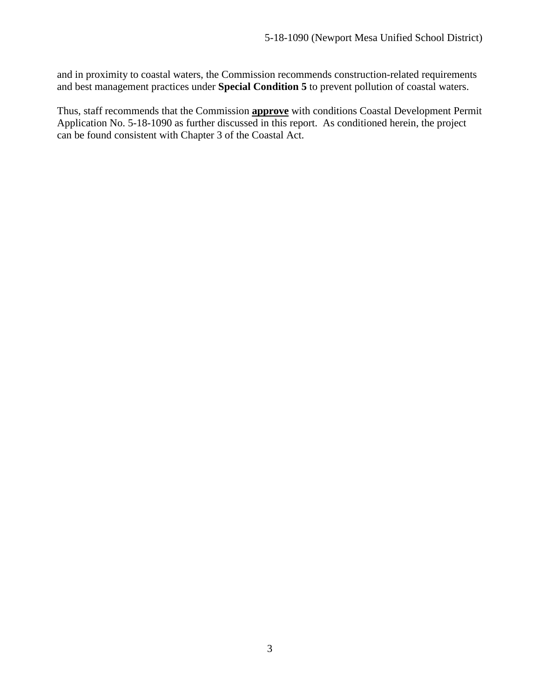and in proximity to coastal waters, the Commission recommends construction-related requirements and best management practices under **Special Condition 5** to prevent pollution of coastal waters.

Thus, staff recommends that the Commission **approve** with conditions Coastal Development Permit Application No. 5-18-1090 as further discussed in this report. As conditioned herein, the project can be found consistent with Chapter 3 of the Coastal Act.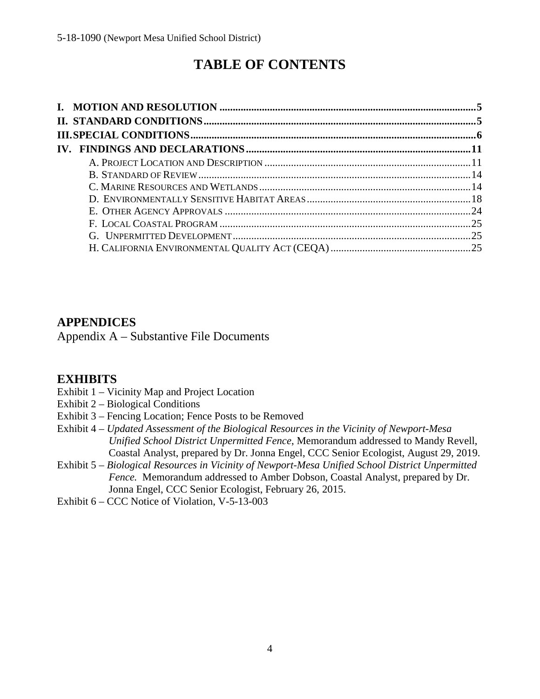## **TABLE OF CONTENTS**

## **[APPENDICES](#page-25-0)**

[Appendix A – Substantive File Documents](#page-25-0)

## **[EXHIBITS](https://documents.coastal.ca.gov/reports/2019/9/th15e/th15e-9-2019-exhibits.pdf)**

- [Exhibit 1 Vicinity Map and Project Location](https://documents.coastal.ca.gov/reports/2019/9/th15e/th15e-9-2019-exhibits.pdf)
- [Exhibit 2 Biological Conditions](https://documents.coastal.ca.gov/reports/2019/9/th15e/th15e-9-2019-exhibits.pdf)
- [Exhibit 3 Fencing Location; Fence Posts to be Removed](https://documents.coastal.ca.gov/reports/2019/9/th15e/th15e-9-2019-exhibits.pdf)
- Exhibit 4 *[Updated Assessment of the Biological Resources in the Vicinity of Newport-Mesa](https://documents.coastal.ca.gov/reports/2019/9/th15e/th15e-9-2019-exhibits.pdf)  Unified School District Unpermitted Fence*[, Memorandum addressed to Mandy Revell,](https://documents.coastal.ca.gov/reports/2019/9/th15e/th15e-9-2019-exhibits.pdf)  [Coastal Analyst, prepared by Dr. Jonna Engel, CCC Senior Ecologist, August 29, 2019.](https://documents.coastal.ca.gov/reports/2019/9/th15e/th15e-9-2019-exhibits.pdf)
- Exhibit 5 *[Biological Resources in Vicinity of Newport-Mesa Unified School District Unpermitted](https://documents.coastal.ca.gov/reports/2019/9/th15e/th15e-9-2019-exhibits.pdf)  Fence.* [Memorandum addressed to Amber Dobson, Coastal Analyst, prepared by Dr.](https://documents.coastal.ca.gov/reports/2019/9/th15e/th15e-9-2019-exhibits.pdf)  [Jonna Engel, CCC Senior Ecologist, February 26, 2015.](https://documents.coastal.ca.gov/reports/2019/9/th15e/th15e-9-2019-exhibits.pdf)
- [Exhibit 6 CCC Notice of Violation, V-5-13-003](https://documents.coastal.ca.gov/reports/2019/9/th15e/th15e-9-2019-exhibits.pdf)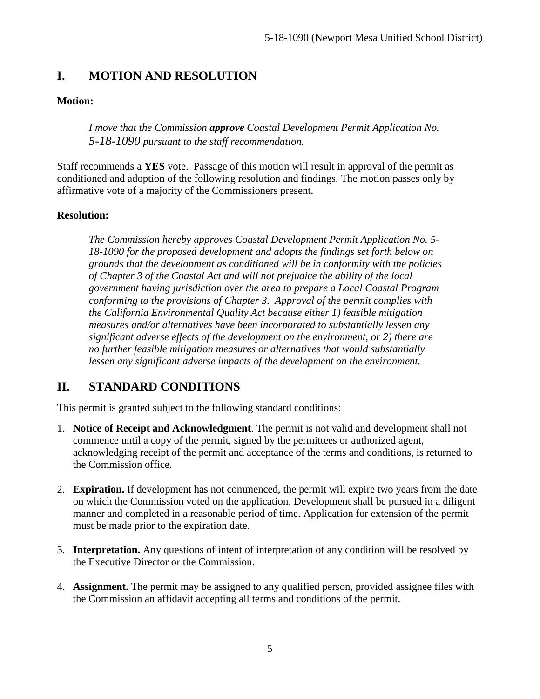## <span id="page-4-0"></span>**I. MOTION AND RESOLUTION**

#### **Motion:**

*I move that the Commission approve Coastal Development Permit Application No. 5-18-1090 pursuant to the staff recommendation.*

Staff recommends a **YES** vote. Passage of this motion will result in approval of the permit as conditioned and adoption of the following resolution and findings. The motion passes only by affirmative vote of a majority of the Commissioners present.

#### **Resolution:**

*The Commission hereby approves Coastal Development Permit Application No. 5- 18-1090 for the proposed development and adopts the findings set forth below on grounds that the development as conditioned will be in conformity with the policies of Chapter 3 of the Coastal Act and will not prejudice the ability of the local government having jurisdiction over the area to prepare a Local Coastal Program conforming to the provisions of Chapter 3. Approval of the permit complies with the California Environmental Quality Act because either 1) feasible mitigation measures and/or alternatives have been incorporated to substantially lessen any significant adverse effects of the development on the environment, or 2) there are no further feasible mitigation measures or alternatives that would substantially lessen any significant adverse impacts of the development on the environment.*

## <span id="page-4-1"></span>**II. STANDARD CONDITIONS**

This permit is granted subject to the following standard conditions:

- 1. **Notice of Receipt and Acknowledgment**. The permit is not valid and development shall not commence until a copy of the permit, signed by the permittees or authorized agent, acknowledging receipt of the permit and acceptance of the terms and conditions, is returned to the Commission office.
- 2. **Expiration.** If development has not commenced, the permit will expire two years from the date on which the Commission voted on the application. Development shall be pursued in a diligent manner and completed in a reasonable period of time. Application for extension of the permit must be made prior to the expiration date.
- 3. **Interpretation.** Any questions of intent of interpretation of any condition will be resolved by the Executive Director or the Commission.
- 4. **Assignment.** The permit may be assigned to any qualified person, provided assignee files with the Commission an affidavit accepting all terms and conditions of the permit.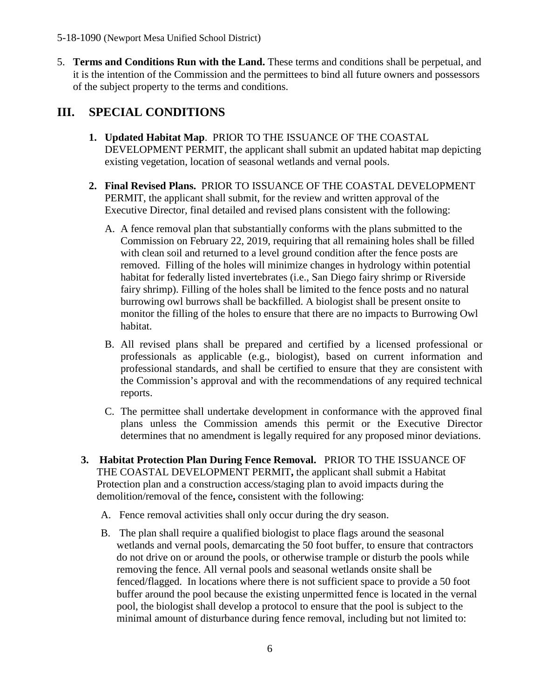5. **Terms and Conditions Run with the Land.** These terms and conditions shall be perpetual, and it is the intention of the Commission and the permittees to bind all future owners and possessors of the subject property to the terms and conditions.

## <span id="page-5-0"></span>**III. SPECIAL CONDITIONS**

- **1. Updated Habitat Map**. PRIOR TO THE ISSUANCE OF THE COASTAL DEVELOPMENT PERMIT, the applicant shall submit an updated habitat map depicting existing vegetation, location of seasonal wetlands and vernal pools.
- **2. Final Revised Plans.** PRIOR TO ISSUANCE OF THE COASTAL DEVELOPMENT PERMIT, the applicant shall submit, for the review and written approval of the Executive Director, final detailed and revised plans consistent with the following:
	- A. A fence removal plan that substantially conforms with the plans submitted to the Commission on February 22, 2019, requiring that all remaining holes shall be filled with clean soil and returned to a level ground condition after the fence posts are removed. Filling of the holes will minimize changes in hydrology within potential habitat for federally listed invertebrates (i.e., San Diego fairy shrimp or Riverside fairy shrimp). Filling of the holes shall be limited to the fence posts and no natural burrowing owl burrows shall be backfilled. A biologist shall be present onsite to monitor the filling of the holes to ensure that there are no impacts to Burrowing Owl habitat.
	- B. All revised plans shall be prepared and certified by a licensed professional or professionals as applicable (e.g., biologist), based on current information and professional standards, and shall be certified to ensure that they are consistent with the Commission's approval and with the recommendations of any required technical reports.
	- C. The permittee shall undertake development in conformance with the approved final plans unless the Commission amends this permit or the Executive Director determines that no amendment is legally required for any proposed minor deviations.
- **3. Habitat Protection Plan During Fence Removal.** PRIOR TO THE ISSUANCE OF THE COASTAL DEVELOPMENT PERMIT**,** the applicant shall submit a Habitat Protection plan and a construction access/staging plan to avoid impacts during the demolition/removal of the fence**,** consistent with the following:
	- A. Fence removal activities shall only occur during the dry season.
	- B. The plan shall require a qualified biologist to place flags around the seasonal wetlands and vernal pools, demarcating the 50 foot buffer, to ensure that contractors do not drive on or around the pools, or otherwise trample or disturb the pools while removing the fence. All vernal pools and seasonal wetlands onsite shall be fenced/flagged. In locations where there is not sufficient space to provide a 50 foot buffer around the pool because the existing unpermitted fence is located in the vernal pool, the biologist shall develop a protocol to ensure that the pool is subject to the minimal amount of disturbance during fence removal, including but not limited to: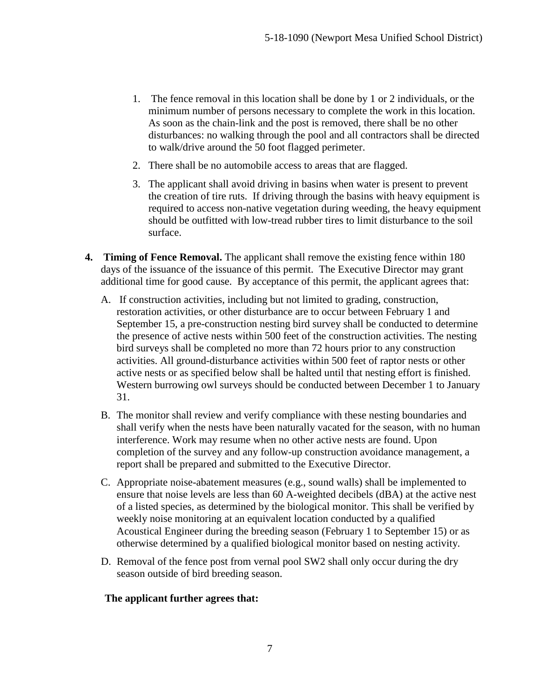- 1. The fence removal in this location shall be done by 1 or 2 individuals, or the minimum number of persons necessary to complete the work in this location. As soon as the chain-link and the post is removed, there shall be no other disturbances: no walking through the pool and all contractors shall be directed to walk/drive around the 50 foot flagged perimeter.
- 2. There shall be no automobile access to areas that are flagged.
- 3. The applicant shall avoid driving in basins when water is present to prevent the creation of tire ruts. If driving through the basins with heavy equipment is required to access non-native vegetation during weeding, the heavy equipment should be outfitted with low-tread rubber tires to limit disturbance to the soil surface.
- **4. Timing of Fence Removal.** The applicant shall remove the existing fence within 180 days of the issuance of the issuance of this permit. The Executive Director may grant additional time for good cause. By acceptance of this permit, the applicant agrees that:
	- A. If construction activities, including but not limited to grading, construction, restoration activities, or other disturbance are to occur between February 1 and September 15, a pre-construction nesting bird survey shall be conducted to determine the presence of active nests within 500 feet of the construction activities. The nesting bird surveys shall be completed no more than 72 hours prior to any construction activities. All ground-disturbance activities within 500 feet of raptor nests or other active nests or as specified below shall be halted until that nesting effort is finished. Western burrowing owl surveys should be conducted between December 1 to January 31.
	- B. The monitor shall review and verify compliance with these nesting boundaries and shall verify when the nests have been naturally vacated for the season, with no human interference. Work may resume when no other active nests are found. Upon completion of the survey and any follow-up construction avoidance management, a report shall be prepared and submitted to the Executive Director.
	- C. Appropriate noise-abatement measures (e.g., sound walls) shall be implemented to ensure that noise levels are less than 60 A-weighted decibels (dBA) at the active nest of a listed species, as determined by the biological monitor. This shall be verified by weekly noise monitoring at an equivalent location conducted by a qualified Acoustical Engineer during the breeding season (February 1 to September 15) or as otherwise determined by a qualified biological monitor based on nesting activity.
	- D. Removal of the fence post from vernal pool SW2 shall only occur during the dry season outside of bird breeding season.

#### **The applicant further agrees that:**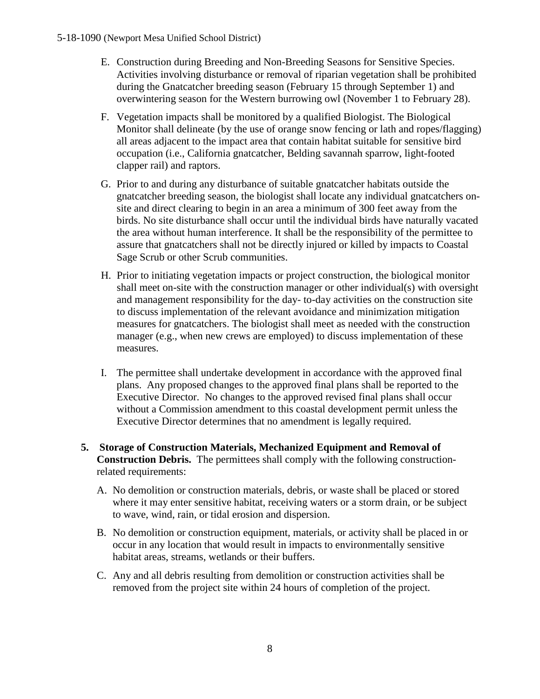- E. Construction during Breeding and Non-Breeding Seasons for Sensitive Species. Activities involving disturbance or removal of riparian vegetation shall be prohibited during the Gnatcatcher breeding season (February 15 through September 1) and overwintering season for the Western burrowing owl (November 1 to February 28).
- F. Vegetation impacts shall be monitored by a qualified Biologist. The Biological Monitor shall delineate (by the use of orange snow fencing or lath and ropes/flagging) all areas adjacent to the impact area that contain habitat suitable for sensitive bird occupation (i.e., California gnatcatcher, Belding savannah sparrow, light-footed clapper rail) and raptors.
- G. Prior to and during any disturbance of suitable gnatcatcher habitats outside the gnatcatcher breeding season, the biologist shall locate any individual gnatcatchers onsite and direct clearing to begin in an area a minimum of 300 feet away from the birds. No site disturbance shall occur until the individual birds have naturally vacated the area without human interference. It shall be the responsibility of the permittee to assure that gnatcatchers shall not be directly injured or killed by impacts to Coastal Sage Scrub or other Scrub communities.
- H. Prior to initiating vegetation impacts or project construction, the biological monitor shall meet on-site with the construction manager or other individual(s) with oversight and management responsibility for the day- to-day activities on the construction site to discuss implementation of the relevant avoidance and minimization mitigation measures for gnatcatchers. The biologist shall meet as needed with the construction manager (e.g., when new crews are employed) to discuss implementation of these measures.
- I. The permittee shall undertake development in accordance with the approved final plans. Any proposed changes to the approved final plans shall be reported to the Executive Director. No changes to the approved revised final plans shall occur without a Commission amendment to this coastal development permit unless the Executive Director determines that no amendment is legally required.
- **5. Storage of Construction Materials, Mechanized Equipment and Removal of Construction Debris.** The permittees shall comply with the following constructionrelated requirements:
	- A. No demolition or construction materials, debris, or waste shall be placed or stored where it may enter sensitive habitat, receiving waters or a storm drain, or be subject to wave, wind, rain, or tidal erosion and dispersion.
	- B. No demolition or construction equipment, materials, or activity shall be placed in or occur in any location that would result in impacts to environmentally sensitive habitat areas, streams, wetlands or their buffers.
	- C. Any and all debris resulting from demolition or construction activities shall be removed from the project site within 24 hours of completion of the project.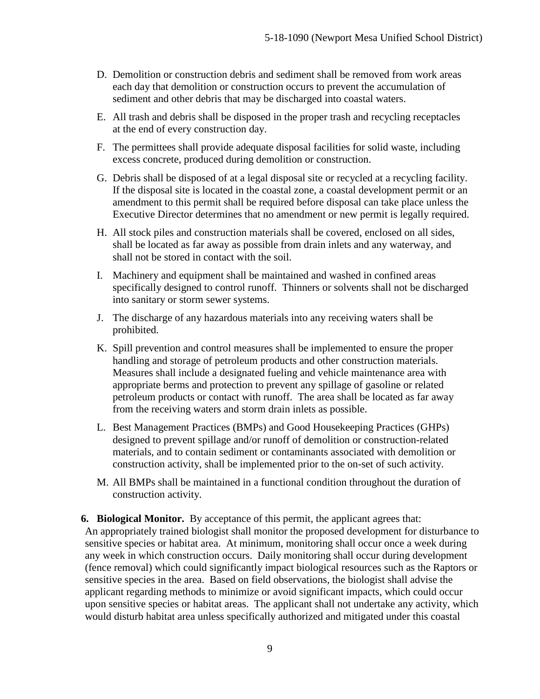- D. Demolition or construction debris and sediment shall be removed from work areas each day that demolition or construction occurs to prevent the accumulation of sediment and other debris that may be discharged into coastal waters.
- E. All trash and debris shall be disposed in the proper trash and recycling receptacles at the end of every construction day.
- F. The permittees shall provide adequate disposal facilities for solid waste, including excess concrete, produced during demolition or construction.
- G. Debris shall be disposed of at a legal disposal site or recycled at a recycling facility. If the disposal site is located in the coastal zone, a coastal development permit or an amendment to this permit shall be required before disposal can take place unless the Executive Director determines that no amendment or new permit is legally required.
- H. All stock piles and construction materials shall be covered, enclosed on all sides, shall be located as far away as possible from drain inlets and any waterway, and shall not be stored in contact with the soil.
- I. Machinery and equipment shall be maintained and washed in confined areas specifically designed to control runoff. Thinners or solvents shall not be discharged into sanitary or storm sewer systems.
- J. The discharge of any hazardous materials into any receiving waters shall be prohibited.
- K. Spill prevention and control measures shall be implemented to ensure the proper handling and storage of petroleum products and other construction materials. Measures shall include a designated fueling and vehicle maintenance area with appropriate berms and protection to prevent any spillage of gasoline or related petroleum products or contact with runoff. The area shall be located as far away from the receiving waters and storm drain inlets as possible.
- L. Best Management Practices (BMPs) and Good Housekeeping Practices (GHPs) designed to prevent spillage and/or runoff of demolition or construction-related materials, and to contain sediment or contaminants associated with demolition or construction activity, shall be implemented prior to the on-set of such activity.
- M. All BMPs shall be maintained in a functional condition throughout the duration of construction activity.

**6. Biological Monitor.** By acceptance of this permit, the applicant agrees that: An appropriately trained biologist shall monitor the proposed development for disturbance to sensitive species or habitat area. At minimum, monitoring shall occur once a week during any week in which construction occurs. Daily monitoring shall occur during development (fence removal) which could significantly impact biological resources such as the Raptors or sensitive species in the area. Based on field observations, the biologist shall advise the applicant regarding methods to minimize or avoid significant impacts, which could occur upon sensitive species or habitat areas. The applicant shall not undertake any activity, which would disturb habitat area unless specifically authorized and mitigated under this coastal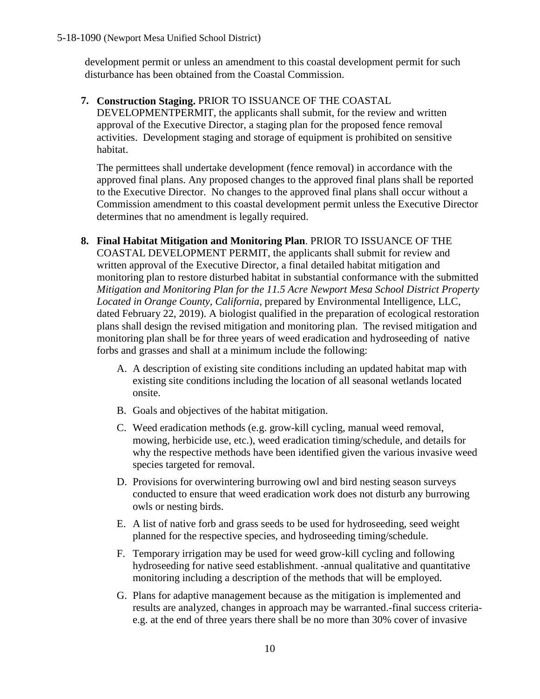development permit or unless an amendment to this coastal development permit for such disturbance has been obtained from the Coastal Commission.

**7. Construction Staging.** PRIOR TO ISSUANCE OF THE COASTAL DEVELOPMENTPERMIT, the applicants shall submit, for the review and written approval of the Executive Director, a staging plan for the proposed fence removal activities. Development staging and storage of equipment is prohibited on sensitive habitat.

The permittees shall undertake development (fence removal) in accordance with the approved final plans. Any proposed changes to the approved final plans shall be reported to the Executive Director. No changes to the approved final plans shall occur without a Commission amendment to this coastal development permit unless the Executive Director determines that no amendment is legally required.

- **8. Final Habitat Mitigation and Monitoring Plan**. PRIOR TO ISSUANCE OF THE COASTAL DEVELOPMENT PERMIT, the applicants shall submit for review and written approval of the Executive Director, a final detailed habitat mitigation and monitoring plan to restore disturbed habitat in substantial conformance with the submitted *Mitigation and Monitoring Plan for the 11.5 Acre Newport Mesa School District Property Located in Orange County, California,* prepared by Environmental Intelligence, LLC, dated February 22, 2019). A biologist qualified in the preparation of ecological restoration plans shall design the revised mitigation and monitoring plan. The revised mitigation and monitoring plan shall be for three years of weed eradication and hydroseeding of native forbs and grasses and shall at a minimum include the following:
	- A. A description of existing site conditions including an updated habitat map with existing site conditions including the location of all seasonal wetlands located onsite.
	- B. Goals and objectives of the habitat mitigation.
	- C. Weed eradication methods (e.g. grow-kill cycling, manual weed removal, mowing, herbicide use, etc.), weed eradication timing/schedule, and details for why the respective methods have been identified given the various invasive weed species targeted for removal.
	- D. Provisions for overwintering burrowing owl and bird nesting season surveys conducted to ensure that weed eradication work does not disturb any burrowing owls or nesting birds.
	- E. A list of native forb and grass seeds to be used for hydroseeding, seed weight planned for the respective species, and hydroseeding timing/schedule.
	- F. Temporary irrigation may be used for weed grow-kill cycling and following hydroseeding for native seed establishment. -annual qualitative and quantitative monitoring including a description of the methods that will be employed.
	- G. Plans for adaptive management because as the mitigation is implemented and results are analyzed, changes in approach may be warranted.-final success criteriae.g. at the end of three years there shall be no more than 30% cover of invasive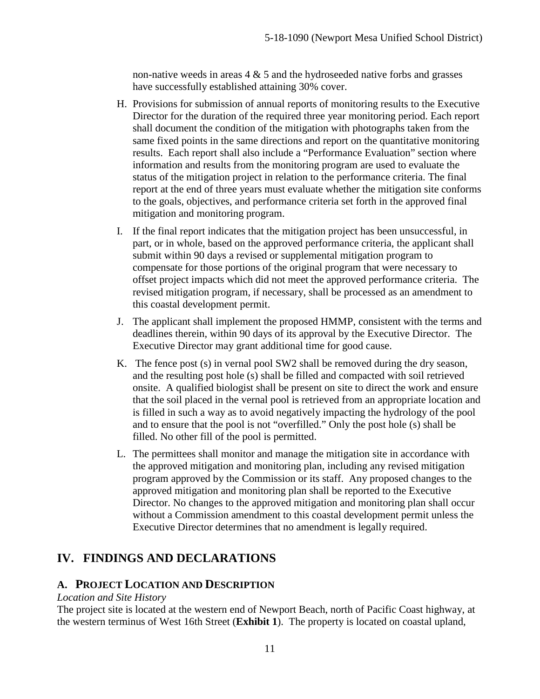non-native weeds in areas  $4 \& 5$  and the hydroseeded native forbs and grasses have successfully established attaining 30% cover.

- H. Provisions for submission of annual reports of monitoring results to the Executive Director for the duration of the required three year monitoring period. Each report shall document the condition of the mitigation with photographs taken from the same fixed points in the same directions and report on the quantitative monitoring results. Each report shall also include a "Performance Evaluation" section where information and results from the monitoring program are used to evaluate the status of the mitigation project in relation to the performance criteria. The final report at the end of three years must evaluate whether the mitigation site conforms to the goals, objectives, and performance criteria set forth in the approved final mitigation and monitoring program.
- I. If the final report indicates that the mitigation project has been unsuccessful, in part, or in whole, based on the approved performance criteria, the applicant shall submit within 90 days a revised or supplemental mitigation program to compensate for those portions of the original program that were necessary to offset project impacts which did not meet the approved performance criteria. The revised mitigation program, if necessary, shall be processed as an amendment to this coastal development permit.
- J. The applicant shall implement the proposed HMMP, consistent with the terms and deadlines therein, within 90 days of its approval by the Executive Director. The Executive Director may grant additional time for good cause.
- K. The fence post (s) in vernal pool SW2 shall be removed during the dry season, and the resulting post hole (s) shall be filled and compacted with soil retrieved onsite. A qualified biologist shall be present on site to direct the work and ensure that the soil placed in the vernal pool is retrieved from an appropriate location and is filled in such a way as to avoid negatively impacting the hydrology of the pool and to ensure that the pool is not "overfilled." Only the post hole (s) shall be filled. No other fill of the pool is permitted.
- L. The permittees shall monitor and manage the mitigation site in accordance with the approved mitigation and monitoring plan, including any revised mitigation program approved by the Commission or its staff. Any proposed changes to the approved mitigation and monitoring plan shall be reported to the Executive Director. No changes to the approved mitigation and monitoring plan shall occur without a Commission amendment to this coastal development permit unless the Executive Director determines that no amendment is legally required.

## <span id="page-10-0"></span>**IV. FINDINGS AND DECLARATIONS**

#### <span id="page-10-1"></span>**A. PROJECT LOCATION AND DESCRIPTION**

#### *Location and Site History*

The project site is located at the western end of Newport Beach, north of Pacific Coast highway, at the western terminus of West 16th Street (**[Exhibit 1](https://documents.coastal.ca.gov/reports/2019/9/th15e/th15e-9-2019-exhibits.pdf)**). The property is located on coastal upland,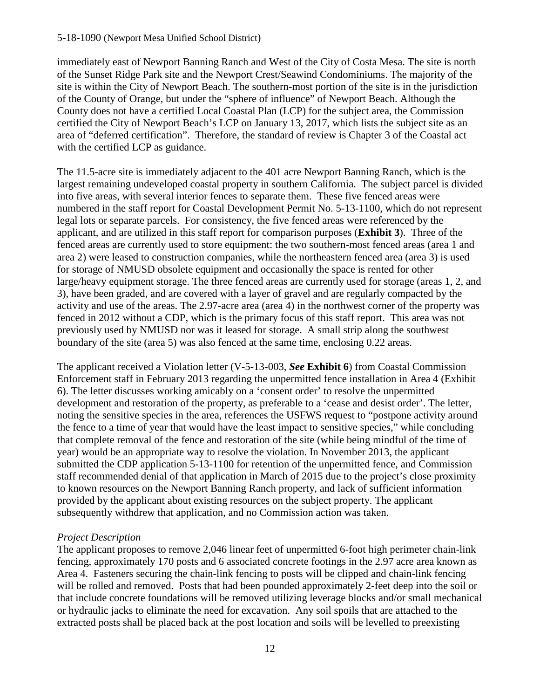#### 5-18-1090 (Newport Mesa Unified School District)

immediately east of Newport Banning Ranch and West of the City of Costa Mesa. The site is north of the Sunset Ridge Park site and the Newport Crest/Seawind Condominiums. The majority of the site is within the City of Newport Beach. The southern-most portion of the site is in the jurisdiction of the County of Orange, but under the "sphere of influence" of Newport Beach. Although the County does not have a certified Local Coastal Plan (LCP) for the subject area, the Commission certified the City of Newport Beach's LCP on January 13, 2017, which lists the subject site as an area of "deferred certification". Therefore, the standard of review is Chapter 3 of the Coastal act with the certified LCP as guidance.

The 11.5-acre site is immediately adjacent to the 401 acre Newport Banning Ranch, which is the largest remaining undeveloped coastal property in southern California. The subject parcel is divided into five areas, with several interior fences to separate them. These five fenced areas were numbered in the staff report for Coastal Development Permit No. 5-13-1100, which do not represent legal lots or separate parcels. For consistency, the five fenced areas were referenced by the applicant, and are utilized in this staff report for comparison purposes (**[Exhibit 3](https://documents.coastal.ca.gov/reports/2019/9/th15e/th15e-9-2019-exhibits.pdf)**). Three of the fenced areas are currently used to store equipment: the two southern-most fenced areas (area 1 and area 2) were leased to construction companies, while the northeastern fenced area (area 3) is used for storage of NMUSD obsolete equipment and occasionally the space is rented for other large/heavy equipment storage. The three fenced areas are currently used for storage (areas 1, 2, and 3), have been graded, and are covered with a layer of gravel and are regularly compacted by the activity and use of the areas. The 2.97-acre area (area 4) in the northwest corner of the property was fenced in 2012 without a CDP, which is the primary focus of this staff report. This area was not previously used by NMUSD nor was it leased for storage. A small strip along the southwest boundary of the site (area 5) was also fenced at the same time, enclosing 0.22 areas.

The applicant received a Violation letter (V-5-13-003, *See* **[Exhibit 6](https://documents.coastal.ca.gov/reports/2019/9/th15e/th15e-9-2019-exhibits.pdf)**) from Coastal Commission Enforcement staff in February 2013 regarding the unpermitted fence installation in Area 4 (Exhibit 6). The letter discusses working amicably on a 'consent order' to resolve the unpermitted development and restoration of the property, as preferable to a 'cease and desist order'. The letter, noting the sensitive species in the area, references the USFWS request to "postpone activity around the fence to a time of year that would have the least impact to sensitive species," while concluding that complete removal of the fence and restoration of the site (while being mindful of the time of year) would be an appropriate way to resolve the violation. In November 2013, the applicant submitted the CDP application 5-13-1100 for retention of the unpermitted fence, and Commission staff recommended denial of that application in March of 2015 due to the project's close proximity to known resources on the Newport Banning Ranch property, and lack of sufficient information provided by the applicant about existing resources on the subject property. The applicant subsequently withdrew that application, and no Commission action was taken.

#### *Project Description*

The applicant proposes to remove 2,046 linear feet of unpermitted 6-foot high perimeter chain-link fencing, approximately 170 posts and 6 associated concrete footings in the 2.97 acre area known as Area 4. Fasteners securing the chain-link fencing to posts will be clipped and chain-link fencing will be rolled and removed. Posts that had been pounded approximately 2-feet deep into the soil or that include concrete foundations will be removed utilizing leverage blocks and/or small mechanical or hydraulic jacks to eliminate the need for excavation. Any soil spoils that are attached to the extracted posts shall be placed back at the post location and soils will be levelled to preexisting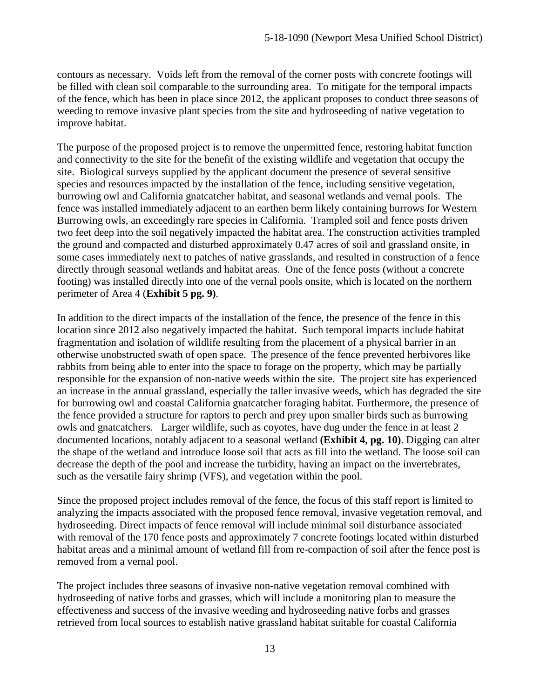contours as necessary. Voids left from the removal of the corner posts with concrete footings will be filled with clean soil comparable to the surrounding area. To mitigate for the temporal impacts of the fence, which has been in place since 2012, the applicant proposes to conduct three seasons of weeding to remove invasive plant species from the site and hydroseeding of native vegetation to improve habitat.

The purpose of the proposed project is to remove the unpermitted fence, restoring habitat function and connectivity to the site for the benefit of the existing wildlife and vegetation that occupy the site. Biological surveys supplied by the applicant document the presence of several sensitive species and resources impacted by the installation of the fence, including sensitive vegetation, burrowing owl and California gnatcatcher habitat, and seasonal wetlands and vernal pools. The fence was installed immediately adjacent to an earthen berm likely containing burrows for Western Burrowing owls, an exceedingly rare species in California. Trampled soil and fence posts driven two feet deep into the soil negatively impacted the habitat area. The construction activities trampled the ground and compacted and disturbed approximately 0.47 acres of soil and grassland onsite, in some cases immediately next to patches of native grasslands, and resulted in construction of a fence directly through seasonal wetlands and habitat areas. One of the fence posts (without a concrete footing) was installed directly into one of the vernal pools onsite, which is located on the northern perimeter of Area 4 (**[Exhibit 5 pg. 9\)](https://documents.coastal.ca.gov/reports/2019/9/th15e/th15e-9-2019-exhibits.pdf)**.

In addition to the direct impacts of the installation of the fence, the presence of the fence in this location since 2012 also negatively impacted the habitat. Such temporal impacts include habitat fragmentation and isolation of wildlife resulting from the placement of a physical barrier in an otherwise unobstructed swath of open space. The presence of the fence prevented herbivores like rabbits from being able to enter into the space to forage on the property, which may be partially responsible for the expansion of non-native weeds within the site. The project site has experienced an increase in the annual grassland, especially the taller invasive weeds, which has degraded the site for burrowing owl and coastal California gnatcatcher foraging habitat. Furthermore, the presence of the fence provided a structure for raptors to perch and prey upon smaller birds such as burrowing owls and gnatcatchers. Larger wildlife, such as coyotes, have dug under the fence in at least 2 documented locations, notably adjacent to a seasonal wetland **[\(Exhibit 4, pg. 10\)](https://documents.coastal.ca.gov/reports/2019/9/th15e/th15e-9-2019-exhibits.pdf)**. Digging can alter the shape of the wetland and introduce loose soil that acts as fill into the wetland. The loose soil can decrease the depth of the pool and increase the turbidity, having an impact on the invertebrates, such as the versatile fairy shrimp (VFS), and vegetation within the pool.

Since the proposed project includes removal of the fence, the focus of this staff report is limited to analyzing the impacts associated with the proposed fence removal, invasive vegetation removal, and hydroseeding. Direct impacts of fence removal will include minimal soil disturbance associated with removal of the 170 fence posts and approximately 7 concrete footings located within disturbed habitat areas and a minimal amount of wetland fill from re-compaction of soil after the fence post is removed from a vernal pool.

The project includes three seasons of invasive non-native vegetation removal combined with hydroseeding of native forbs and grasses, which will include a monitoring plan to measure the effectiveness and success of the invasive weeding and hydroseeding native forbs and grasses retrieved from local sources to establish native grassland habitat suitable for coastal California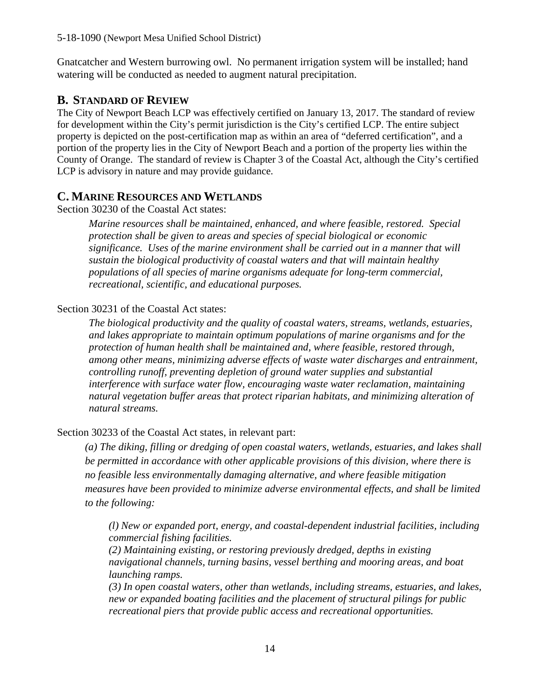Gnatcatcher and Western burrowing owl. No permanent irrigation system will be installed; hand watering will be conducted as needed to augment natural precipitation.

## <span id="page-13-0"></span>**B. STANDARD OF REVIEW**

The City of Newport Beach LCP was effectively certified on January 13, 2017. The standard of review for development within the City's permit jurisdiction is the City's certified LCP. The entire subject property is depicted on the post-certification map as within an area of "deferred certification", and a portion of the property lies in the City of Newport Beach and a portion of the property lies within the County of Orange. The standard of review is Chapter 3 of the Coastal Act, although the City's certified LCP is advisory in nature and may provide guidance.

## <span id="page-13-1"></span>**C. MARINE RESOURCES AND WETLANDS**

Section 30230 of the Coastal Act states:

*Marine resources shall be maintained, enhanced, and where feasible, restored. Special protection shall be given to areas and species of special biological or economic significance. Uses of the marine environment shall be carried out in a manner that will sustain the biological productivity of coastal waters and that will maintain healthy populations of all species of marine organisms adequate for long-term commercial, recreational, scientific, and educational purposes.* 

#### Section 30231 of the Coastal Act states:

*The biological productivity and the quality of coastal waters, streams, wetlands, estuaries, and lakes appropriate to maintain optimum populations of marine organisms and for the protection of human health shall be maintained and, where feasible, restored through, among other means, minimizing adverse effects of waste water discharges and entrainment, controlling runoff, preventing depletion of ground water supplies and substantial interference with surface water flow, encouraging waste water reclamation, maintaining natural vegetation buffer areas that protect riparian habitats, and minimizing alteration of natural streams.* 

## Section 30233 of the Coastal Act states, in relevant part:

*(a) The diking, filling or dredging of open coastal waters, wetlands, estuaries, and lakes shall be permitted in accordance with other applicable provisions of this division, where there is no feasible less environmentally damaging alternative, and where feasible mitigation measures have been provided to minimize adverse environmental effects, and shall be limited to the following:* 

*(l) New or expanded port, energy, and coastal-dependent industrial facilities, including commercial fishing facilities.* 

*(2) Maintaining existing, or restoring previously dredged, depths in existing navigational channels, turning basins, vessel berthing and mooring areas, and boat launching ramps.* 

*(3) In open coastal waters, other than wetlands, including streams, estuaries, and lakes, new or expanded boating facilities and the placement of structural pilings for public recreational piers that provide public access and recreational opportunities.*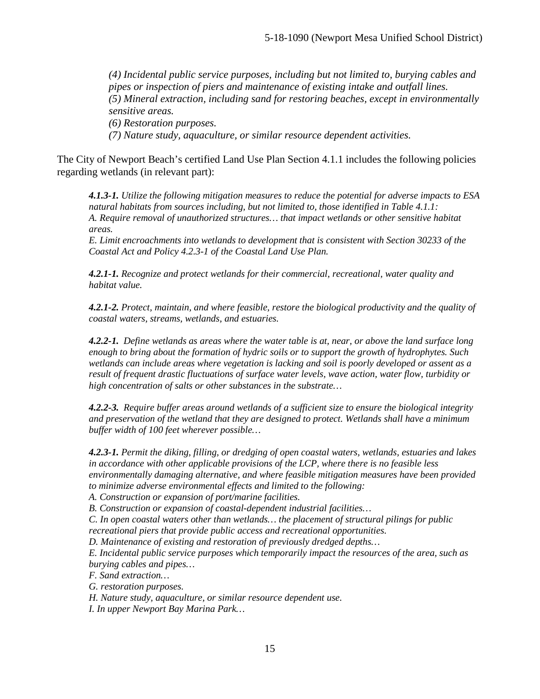*(4) Incidental public service purposes, including but not limited to, burying cables and pipes or inspection of piers and maintenance of existing intake and outfall lines. (5) Mineral extraction, including sand for restoring beaches, except in environmentally sensitive areas. (6) Restoration purposes. (7) Nature study, aquaculture, or similar resource dependent activities.* 

The City of Newport Beach's certified Land Use Plan Section 4.1.1 includes the following policies regarding wetlands (in relevant part):

*4.1.3-1. Utilize the following mitigation measures to reduce the potential for adverse impacts to ESA natural habitats from sources including, but not limited to, those identified in Table 4.1.1: A. Require removal of unauthorized structures… that impact wetlands or other sensitive habitat areas.* 

*E. Limit encroachments into wetlands to development that is consistent with Section 30233 of the Coastal Act and Policy 4.2.3-1 of the Coastal Land Use Plan.* 

*4.2.1-1. Recognize and protect wetlands for their commercial, recreational, water quality and habitat value.* 

*4.2.1-2. Protect, maintain, and where feasible, restore the biological productivity and the quality of coastal waters, streams, wetlands, and estuaries.* 

*4.2.2-1. Define wetlands as areas where the water table is at, near, or above the land surface long enough to bring about the formation of hydric soils or to support the growth of hydrophytes. Such wetlands can include areas where vegetation is lacking and soil is poorly developed or assent as a result of frequent drastic fluctuations of surface water levels, wave action, water flow, turbidity or high concentration of salts or other substances in the substrate…* 

*4.2.2-3. Require buffer areas around wetlands of a sufficient size to ensure the biological integrity and preservation of the wetland that they are designed to protect. Wetlands shall have a minimum buffer width of 100 feet wherever possible…*

*4.2.3-1. Permit the diking, filling, or dredging of open coastal waters, wetlands, estuaries and lakes in accordance with other applicable provisions of the LCP, where there is no feasible less environmentally damaging alternative, and where feasible mitigation measures have been provided to minimize adverse environmental effects and limited to the following:* 

*A. Construction or expansion of port/marine facilities.* 

*B. Construction or expansion of coastal-dependent industrial facilities…*

*C. In open coastal waters other than wetlands… the placement of structural pilings for public recreational piers that provide public access and recreational opportunities.* 

*D. Maintenance of existing and restoration of previously dredged depths…* 

*E. Incidental public service purposes which temporarily impact the resources of the area, such as burying cables and pipes…* 

*F. Sand extraction…* 

*G. restoration purposes.* 

*H. Nature study, aquaculture, or similar resource dependent use.*

*I. In upper Newport Bay Marina Park…*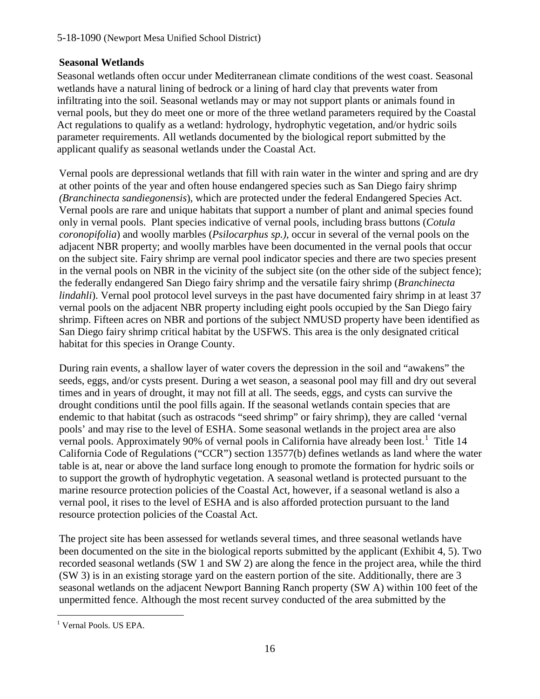## **Seasonal Wetlands**

Seasonal wetlands often occur under Mediterranean climate conditions of the west coast. Seasonal wetlands have a natural lining of bedrock or a lining of hard clay that prevents water from infiltrating into the soil. Seasonal wetlands may or may not support plants or animals found in vernal pools, but they do meet one or more of the three wetland parameters required by the Coastal Act regulations to qualify as a wetland: hydrology, hydrophytic vegetation, and/or hydric soils parameter requirements. All wetlands documented by the biological report submitted by the applicant qualify as seasonal wetlands under the Coastal Act.

Vernal pools are depressional wetlands that fill with rain water in the winter and spring and are dry at other points of the year and often house endangered species such as San Diego fairy shrimp *(Branchinecta sandiegonensis*), which are protected under the federal Endangered Species Act. Vernal pools are rare and unique habitats that support a number of plant and animal species found only in vernal pools. Plant species indicative of vernal pools, including brass buttons (*Cotula coronopifolia*) and woolly marbles (*Psilocarphus sp.),* occur in several of the vernal pools on the adjacent NBR property; and woolly marbles have been documented in the vernal pools that occur on the subject site. Fairy shrimp are vernal pool indicator species and there are two species present in the vernal pools on NBR in the vicinity of the subject site (on the other side of the subject fence); the federally endangered San Diego fairy shrimp and the versatile fairy shrimp (*Branchinecta lindahli*). Vernal pool protocol level surveys in the past have documented fairy shrimp in at least 37 vernal pools on the adjacent NBR property including eight pools occupied by the San Diego fairy shrimp. Fifteen acres on NBR and portions of the subject NMUSD property have been identified as San Diego fairy shrimp critical habitat by the USFWS. This area is the only designated critical habitat for this species in Orange County.

During rain events, a shallow layer of water covers the depression in the soil and "awakens" the seeds, eggs, and/or cysts present. During a wet season, a seasonal pool may fill and dry out several times and in years of drought, it may not fill at all. The seeds, eggs, and cysts can survive the drought conditions until the pool fills again. If the seasonal wetlands contain species that are endemic to that habitat (such as ostracods "seed shrimp" or fairy shrimp), they are called 'vernal pools' and may rise to the level of ESHA. Some seasonal wetlands in the project area are also vernal pools. Approximately 90% of vernal pools in California have already been lost.<sup>[1](#page-15-0)</sup> Title 14 California Code of Regulations ("CCR") section 13577(b) defines wetlands as land where the water table is at, near or above the land surface long enough to promote the formation for hydric soils or to support the growth of hydrophytic vegetation. A seasonal wetland is protected pursuant to the marine resource protection policies of the Coastal Act, however, if a seasonal wetland is also a vernal pool, it rises to the level of ESHA and is also afforded protection pursuant to the land resource protection policies of the Coastal Act.

The project site has been assessed for wetlands several times, and three seasonal wetlands have been documented on the site in the biological reports submitted by the applicant (Exhibit 4, 5). Two recorded seasonal wetlands (SW 1 and SW 2) are along the fence in the project area, while the third (SW 3) is in an existing storage yard on the eastern portion of the site. Additionally, there are 3 seasonal wetlands on the adjacent Newport Banning Ranch property (SW A) within 100 feet of the unpermitted fence. Although the most recent survey conducted of the area submitted by the

<span id="page-15-0"></span> $\overline{a}$ <sup>1</sup> Vernal Pools. US EPA.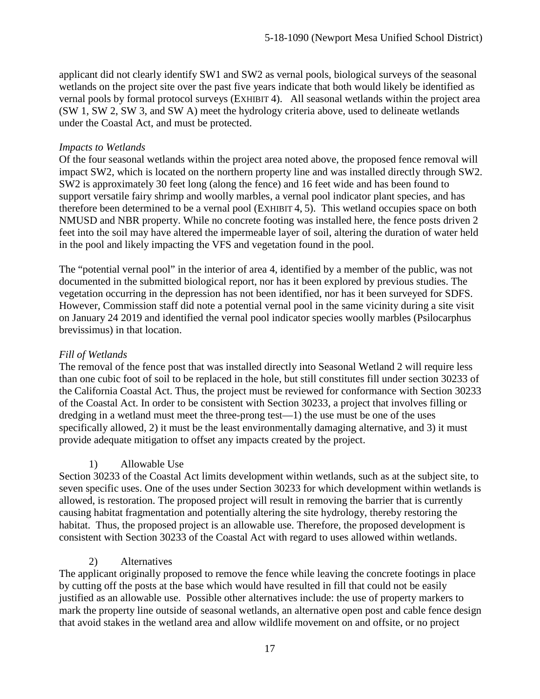applicant did not clearly identify SW1 and SW2 as vernal pools, biological surveys of the seasonal wetlands on the project site over the past five years indicate that both would likely be identified as vernal pools by formal protocol surveys [\(EXHIBIT 4\)](https://documents.coastal.ca.gov/reports/2019/9/th15e/th15e-9-2019-exhibits.pdf). All seasonal wetlands within the project area (SW 1, SW 2, SW 3, and SW A) meet the hydrology criteria above, used to delineate wetlands under the Coastal Act, and must be protected.

#### *Impacts to Wetlands*

Of the four seasonal wetlands within the project area noted above, the proposed fence removal will impact SW2, which is located on the northern property line and was installed directly through SW2. SW2 is approximately 30 feet long (along the fence) and 16 feet wide and has been found to support versatile fairy shrimp and woolly marbles, a vernal pool indicator plant species, and has therefore been determined to be a vernal pool [\(EXHIBIT 4,](https://documents.coastal.ca.gov/reports/2019/9/th15e/th15e-9-2019-exhibits.pdf) 5). This wetland occupies space on both NMUSD and NBR property. While no concrete footing was installed here, the fence posts driven 2 feet into the soil may have altered the impermeable layer of soil, altering the duration of water held in the pool and likely impacting the VFS and vegetation found in the pool.

The "potential vernal pool" in the interior of area 4, identified by a member of the public, was not documented in the submitted biological report, nor has it been explored by previous studies. The vegetation occurring in the depression has not been identified, nor has it been surveyed for SDFS. However, Commission staff did note a potential vernal pool in the same vicinity during a site visit on January 24 2019 and identified the vernal pool indicator species woolly marbles (Psilocarphus brevissimus) in that location.

#### *Fill of Wetlands*

The removal of the fence post that was installed directly into Seasonal Wetland 2 will require less than one cubic foot of soil to be replaced in the hole, but still constitutes fill under section 30233 of the California Coastal Act. Thus, the project must be reviewed for conformance with Section 30233 of the Coastal Act. In order to be consistent with Section 30233, a project that involves filling or dredging in a wetland must meet the three-prong test—1) the use must be one of the uses specifically allowed, 2) it must be the least environmentally damaging alternative, and 3) it must provide adequate mitigation to offset any impacts created by the project.

#### 1) Allowable Use

Section 30233 of the Coastal Act limits development within wetlands, such as at the subject site, to seven specific uses. One of the uses under Section 30233 for which development within wetlands is allowed, is restoration. The proposed project will result in removing the barrier that is currently causing habitat fragmentation and potentially altering the site hydrology, thereby restoring the habitat. Thus, the proposed project is an allowable use. Therefore, the proposed development is consistent with Section 30233 of the Coastal Act with regard to uses allowed within wetlands.

#### 2) Alternatives

The applicant originally proposed to remove the fence while leaving the concrete footings in place by cutting off the posts at the base which would have resulted in fill that could not be easily justified as an allowable use. Possible other alternatives include: the use of property markers to mark the property line outside of seasonal wetlands, an alternative open post and cable fence design that avoid stakes in the wetland area and allow wildlife movement on and offsite, or no project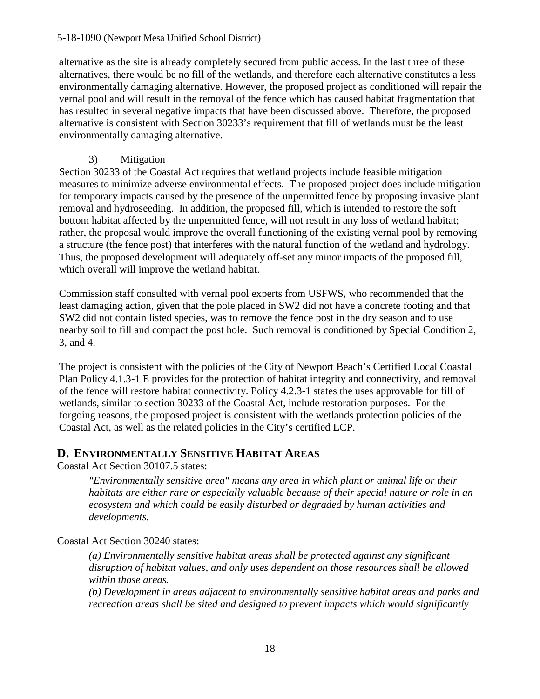#### 5-18-1090 (Newport Mesa Unified School District)

alternative as the site is already completely secured from public access. In the last three of these alternatives, there would be no fill of the wetlands, and therefore each alternative constitutes a less environmentally damaging alternative. However, the proposed project as conditioned will repair the vernal pool and will result in the removal of the fence which has caused habitat fragmentation that has resulted in several negative impacts that have been discussed above. Therefore, the proposed alternative is consistent with Section 30233's requirement that fill of wetlands must be the least environmentally damaging alternative.

#### 3) Mitigation

Section 30233 of the Coastal Act requires that wetland projects include feasible mitigation measures to minimize adverse environmental effects. The proposed project does include mitigation for temporary impacts caused by the presence of the unpermitted fence by proposing invasive plant removal and hydroseeding. In addition, the proposed fill, which is intended to restore the soft bottom habitat affected by the unpermitted fence, will not result in any loss of wetland habitat; rather, the proposal would improve the overall functioning of the existing vernal pool by removing a structure (the fence post) that interferes with the natural function of the wetland and hydrology. Thus, the proposed development will adequately off-set any minor impacts of the proposed fill, which overall will improve the wetland habitat.

Commission staff consulted with vernal pool experts from USFWS, who recommended that the least damaging action, given that the pole placed in SW2 did not have a concrete footing and that SW2 did not contain listed species, was to remove the fence post in the dry season and to use nearby soil to fill and compact the post hole. Such removal is conditioned by Special Condition 2, 3, and 4.

The project is consistent with the policies of the City of Newport Beach's Certified Local Coastal Plan Policy 4.1.3-1 E provides for the protection of habitat integrity and connectivity, and removal of the fence will restore habitat connectivity. Policy 4.2.3-1 states the uses approvable for fill of wetlands, similar to section 30233 of the Coastal Act, include restoration purposes. For the forgoing reasons, the proposed project is consistent with the wetlands protection policies of the Coastal Act, as well as the related policies in the City's certified LCP.

## <span id="page-17-0"></span>**D. ENVIRONMENTALLY SENSITIVE HABITAT AREAS**

Coastal Act Section 30107.5 states:

*"Environmentally sensitive area" means any area in which plant or animal life or their habitats are either rare or especially valuable because of their special nature or role in an ecosystem and which could be easily disturbed or degraded by human activities and developments.*

Coastal Act Section 30240 states:

*(a) Environmentally sensitive habitat areas shall be protected against any significant disruption of habitat values, and only uses dependent on those resources shall be allowed within those areas.* 

*(b) Development in areas adjacent to environmentally sensitive habitat areas and parks and recreation areas shall be sited and designed to prevent impacts which would significantly*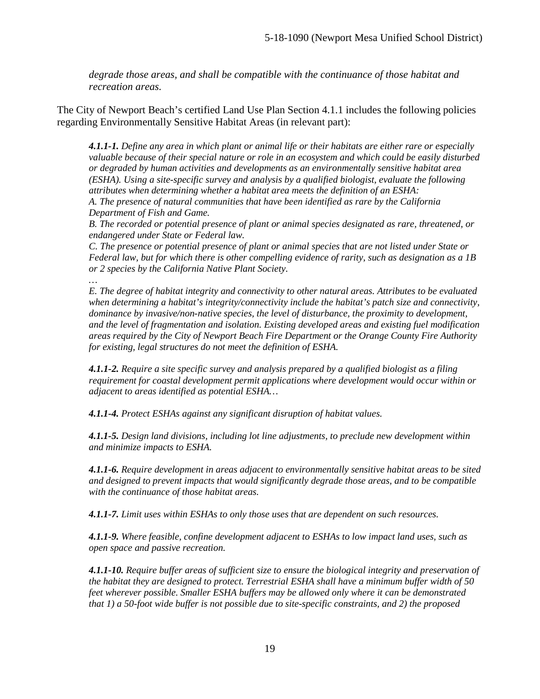*degrade those areas, and shall be compatible with the continuance of those habitat and recreation areas.* 

The City of Newport Beach's certified Land Use Plan Section 4.1.1 includes the following policies regarding Environmentally Sensitive Habitat Areas (in relevant part):

*4.1.1-1. Define any area in which plant or animal life or their habitats are either rare or especially valuable because of their special nature or role in an ecosystem and which could be easily disturbed or degraded by human activities and developments as an environmentally sensitive habitat area (ESHA). Using a site-specific survey and analysis by a qualified biologist, evaluate the following attributes when determining whether a habitat area meets the definition of an ESHA:* 

*A. The presence of natural communities that have been identified as rare by the California Department of Fish and Game.* 

*B. The recorded or potential presence of plant or animal species designated as rare, threatened, or endangered under State or Federal law.* 

*C. The presence or potential presence of plant or animal species that are not listed under State or Federal law, but for which there is other compelling evidence of rarity, such as designation as a 1B or 2 species by the California Native Plant Society.*

*… E. The degree of habitat integrity and connectivity to other natural areas. Attributes to be evaluated when determining a habitat's integrity/connectivity include the habitat's patch size and connectivity, dominance by invasive/non-native species, the level of disturbance, the proximity to development, and the level of fragmentation and isolation. Existing developed areas and existing fuel modification areas required by the City of Newport Beach Fire Department or the Orange County Fire Authority for existing, legal structures do not meet the definition of ESHA.* 

*4.1.1-2. Require a site specific survey and analysis prepared by a qualified biologist as a filing requirement for coastal development permit applications where development would occur within or adjacent to areas identified as potential ESHA…*

*4.1.1-4. Protect ESHAs against any significant disruption of habitat values.* 

*4.1.1-5. Design land divisions, including lot line adjustments, to preclude new development within and minimize impacts to ESHA.* 

*4.1.1-6. Require development in areas adjacent to environmentally sensitive habitat areas to be sited and designed to prevent impacts that would significantly degrade those areas, and to be compatible with the continuance of those habitat areas.*

*4.1.1-7. Limit uses within ESHAs to only those uses that are dependent on such resources.*

*4.1.1-9. Where feasible, confine development adjacent to ESHAs to low impact land uses, such as open space and passive recreation.* 

*4.1.1-10. Require buffer areas of sufficient size to ensure the biological integrity and preservation of the habitat they are designed to protect. Terrestrial ESHA shall have a minimum buffer width of 50 feet wherever possible. Smaller ESHA buffers may be allowed only where it can be demonstrated that 1) a 50-foot wide buffer is not possible due to site-specific constraints, and 2) the proposed*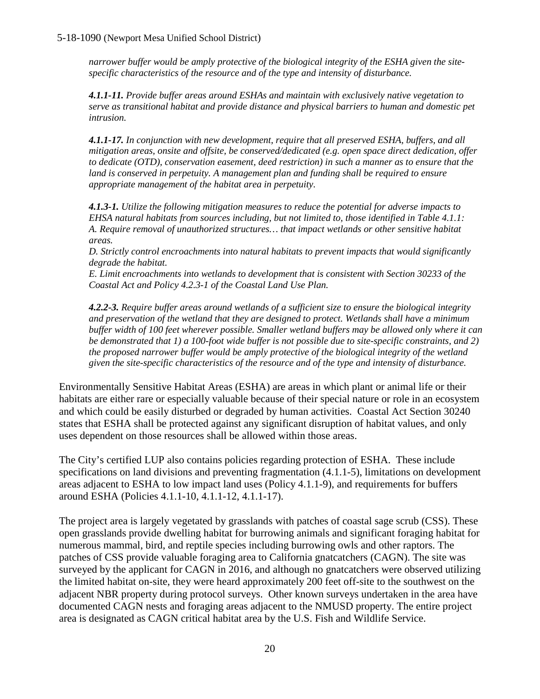#### 5-18-1090 (Newport Mesa Unified School District)

*narrower buffer would be amply protective of the biological integrity of the ESHA given the sitespecific characteristics of the resource and of the type and intensity of disturbance.*

*4.1.1-11. Provide buffer areas around ESHAs and maintain with exclusively native vegetation to serve as transitional habitat and provide distance and physical barriers to human and domestic pet intrusion.* 

*4.1.1-17. In conjunction with new development, require that all preserved ESHA, buffers, and all mitigation areas, onsite and offsite, be conserved/dedicated (e.g. open space direct dedication, offer to dedicate (OTD), conservation easement, deed restriction) in such a manner as to ensure that the land is conserved in perpetuity. A management plan and funding shall be required to ensure appropriate management of the habitat area in perpetuity.* 

*4.1.3-1. Utilize the following mitigation measures to reduce the potential for adverse impacts to EHSA natural habitats from sources including, but not limited to, those identified in Table 4.1.1: A. Require removal of unauthorized structures… that impact wetlands or other sensitive habitat areas.* 

*D. Strictly control encroachments into natural habitats to prevent impacts that would significantly degrade the habitat.* 

*E. Limit encroachments into wetlands to development that is consistent with Section 30233 of the Coastal Act and Policy 4.2.3-1 of the Coastal Land Use Plan.* 

*4.2.2-3. Require buffer areas around wetlands of a sufficient size to ensure the biological integrity and preservation of the wetland that they are designed to protect. Wetlands shall have a minimum buffer width of 100 feet wherever possible. Smaller wetland buffers may be allowed only where it can be demonstrated that 1) a 100-foot wide buffer is not possible due to site-specific constraints, and 2) the proposed narrower buffer would be amply protective of the biological integrity of the wetland given the site-specific characteristics of the resource and of the type and intensity of disturbance.*

Environmentally Sensitive Habitat Areas (ESHA) are areas in which plant or animal life or their habitats are either rare or especially valuable because of their special nature or role in an ecosystem and which could be easily disturbed or degraded by human activities. Coastal Act Section 30240 states that ESHA shall be protected against any significant disruption of habitat values, and only uses dependent on those resources shall be allowed within those areas.

The City's certified LUP also contains policies regarding protection of ESHA. These include specifications on land divisions and preventing fragmentation (4.1.1-5), limitations on development areas adjacent to ESHA to low impact land uses (Policy 4.1.1-9), and requirements for buffers around ESHA (Policies 4.1.1-10, 4.1.1-12, 4.1.1-17).

The project area is largely vegetated by grasslands with patches of coastal sage scrub (CSS). These open grasslands provide dwelling habitat for burrowing animals and significant foraging habitat for numerous mammal, bird, and reptile species including burrowing owls and other raptors. The patches of CSS provide valuable foraging area to California gnatcatchers (CAGN). The site was surveyed by the applicant for CAGN in 2016, and although no gnatcatchers were observed utilizing the limited habitat on-site, they were heard approximately 200 feet off-site to the southwest on the adjacent NBR property during protocol surveys. Other known surveys undertaken in the area have documented CAGN nests and foraging areas adjacent to the NMUSD property. The entire project area is designated as CAGN critical habitat area by the U.S. Fish and Wildlife Service.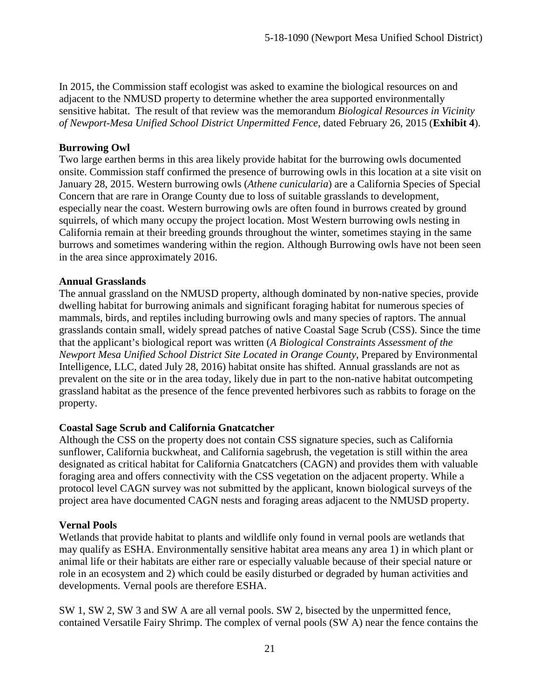In 2015, the Commission staff ecologist was asked to examine the biological resources on and adjacent to the NMUSD property to determine whether the area supported environmentally sensitive habitat. The result of that review was the memorandum *Biological Resources in Vicinity of Newport-Mesa Unified School District Unpermitted Fence*, dated February 26, 2015 (**[Exhibit 4](https://documents.coastal.ca.gov/reports/2019/9/th15e/th15e-9-2019-exhibits.pdf)**).

#### **Burrowing Owl**

Two large earthen berms in this area likely provide habitat for the burrowing owls documented onsite. Commission staff confirmed the presence of burrowing owls in this location at a site visit on January 28, 2015. Western burrowing owls (*Athene cunicularia*) are a California Species of Special Concern that are rare in Orange County due to loss of suitable grasslands to development, especially near the coast. Western burrowing owls are often found in burrows created by ground squirrels, of which many occupy the project location. Most Western burrowing owls nesting in California remain at their breeding grounds throughout the winter, sometimes staying in the same burrows and sometimes wandering within the region. Although Burrowing owls have not been seen in the area since approximately 2016.

#### **Annual Grasslands**

The annual grassland on the NMUSD property, although dominated by non-native species, provide dwelling habitat for burrowing animals and significant foraging habitat for numerous species of mammals, birds, and reptiles including burrowing owls and many species of raptors. The annual grasslands contain small, widely spread patches of native Coastal Sage Scrub (CSS). Since the time that the applicant's biological report was written (*A Biological Constraints Assessment of the Newport Mesa Unified School District Site Located in Orange County*, Prepared by Environmental Intelligence, LLC, dated July 28, 2016) habitat onsite has shifted. Annual grasslands are not as prevalent on the site or in the area today, likely due in part to the non-native habitat outcompeting grassland habitat as the presence of the fence prevented herbivores such as rabbits to forage on the property.

#### **Coastal Sage Scrub and California Gnatcatcher**

Although the CSS on the property does not contain CSS signature species, such as California sunflower, California buckwheat, and California sagebrush, the vegetation is still within the area designated as critical habitat for California Gnatcatchers (CAGN) and provides them with valuable foraging area and offers connectivity with the CSS vegetation on the adjacent property. While a protocol level CAGN survey was not submitted by the applicant, known biological surveys of the project area have documented CAGN nests and foraging areas adjacent to the NMUSD property.

## **Vernal Pools**

Wetlands that provide habitat to plants and wildlife only found in vernal pools are wetlands that may qualify as ESHA. Environmentally sensitive habitat area means any area 1) in which plant or animal life or their habitats are either rare or especially valuable because of their special nature or role in an ecosystem and 2) which could be easily disturbed or degraded by human activities and developments. Vernal pools are therefore ESHA.

SW 1, SW 2, SW 3 and SW A are all vernal pools. SW 2, bisected by the unpermitted fence, contained Versatile Fairy Shrimp. The complex of vernal pools (SW A) near the fence contains the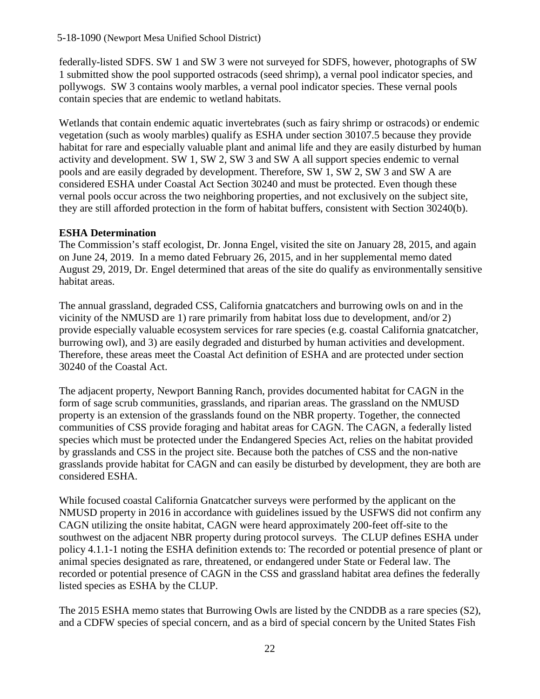federally-listed SDFS. SW 1 and SW 3 were not surveyed for SDFS, however, photographs of SW 1 submitted show the pool supported ostracods (seed shrimp), a vernal pool indicator species, and pollywogs. SW 3 contains wooly marbles, a vernal pool indicator species. These vernal pools contain species that are endemic to wetland habitats.

Wetlands that contain endemic aquatic invertebrates (such as fairy shrimp or ostracods) or endemic vegetation (such as wooly marbles) qualify as ESHA under section 30107.5 because they provide habitat for rare and especially valuable plant and animal life and they are easily disturbed by human activity and development. SW 1, SW 2, SW 3 and SW A all support species endemic to vernal pools and are easily degraded by development. Therefore, SW 1, SW 2, SW 3 and SW A are considered ESHA under Coastal Act Section 30240 and must be protected. Even though these vernal pools occur across the two neighboring properties, and not exclusively on the subject site, they are still afforded protection in the form of habitat buffers, consistent with Section 30240(b).

#### **ESHA Determination**

The Commission's staff ecologist, Dr. Jonna Engel, visited the site on January 28, 2015, and again on June 24, 2019. In a memo dated February 26, 2015, and in her supplemental memo dated August 29, 2019, Dr. Engel determined that areas of the site do qualify as environmentally sensitive habitat areas.

The annual grassland, degraded CSS, California gnatcatchers and burrowing owls on and in the vicinity of the NMUSD are 1) rare primarily from habitat loss due to development, and/or 2) provide especially valuable ecosystem services for rare species (e.g. coastal California gnatcatcher, burrowing owl), and 3) are easily degraded and disturbed by human activities and development. Therefore, these areas meet the Coastal Act definition of ESHA and are protected under section 30240 of the Coastal Act.

The adjacent property, Newport Banning Ranch, provides documented habitat for CAGN in the form of sage scrub communities, grasslands, and riparian areas. The grassland on the NMUSD property is an extension of the grasslands found on the NBR property. Together, the connected communities of CSS provide foraging and habitat areas for CAGN. The CAGN, a federally listed species which must be protected under the Endangered Species Act, relies on the habitat provided by grasslands and CSS in the project site. Because both the patches of CSS and the non-native grasslands provide habitat for CAGN and can easily be disturbed by development, they are both are considered ESHA.

While focused coastal California Gnatcatcher surveys were performed by the applicant on the NMUSD property in 2016 in accordance with guidelines issued by the USFWS did not confirm any CAGN utilizing the onsite habitat, CAGN were heard approximately 200-feet off-site to the southwest on the adjacent NBR property during protocol surveys. The CLUP defines ESHA under policy 4.1.1-1 noting the ESHA definition extends to: The recorded or potential presence of plant or animal species designated as rare, threatened, or endangered under State or Federal law. The recorded or potential presence of CAGN in the CSS and grassland habitat area defines the federally listed species as ESHA by the CLUP.

The 2015 ESHA memo states that Burrowing Owls are listed by the CNDDB as a rare species (S2), and a CDFW species of special concern, and as a bird of special concern by the United States Fish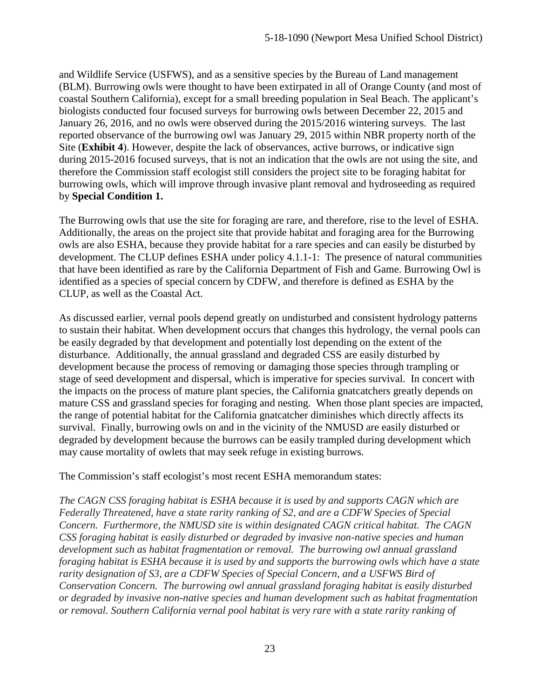and Wildlife Service (USFWS), and as a sensitive species by the Bureau of Land management (BLM). Burrowing owls were thought to have been extirpated in all of Orange County (and most of coastal Southern California), except for a small breeding population in Seal Beach. The applicant's biologists conducted four focused surveys for burrowing owls between December 22, 2015 and January 26, 2016, and no owls were observed during the 2015/2016 wintering surveys. The last reported observance of the burrowing owl was January 29, 2015 within NBR property north of the Site (**[Exhibit 4](https://documents.coastal.ca.gov/reports/2019/9/th15e/th15e-9-2019-exhibits.pdf)**). However, despite the lack of observances, active burrows, or indicative sign during 2015-2016 focused surveys, that is not an indication that the owls are not using the site, and therefore the Commission staff ecologist still considers the project site to be foraging habitat for burrowing owls, which will improve through invasive plant removal and hydroseeding as required by **Special Condition 1.** 

The Burrowing owls that use the site for foraging are rare, and therefore, rise to the level of ESHA. Additionally, the areas on the project site that provide habitat and foraging area for the Burrowing owls are also ESHA, because they provide habitat for a rare species and can easily be disturbed by development. The CLUP defines ESHA under policy 4.1.1-1: The presence of natural communities that have been identified as rare by the California Department of Fish and Game. Burrowing Owl is identified as a species of special concern by CDFW, and therefore is defined as ESHA by the CLUP, as well as the Coastal Act.

As discussed earlier, vernal pools depend greatly on undisturbed and consistent hydrology patterns to sustain their habitat. When development occurs that changes this hydrology, the vernal pools can be easily degraded by that development and potentially lost depending on the extent of the disturbance. Additionally, the annual grassland and degraded CSS are easily disturbed by development because the process of removing or damaging those species through trampling or stage of seed development and dispersal, which is imperative for species survival. In concert with the impacts on the process of mature plant species, the California gnatcatchers greatly depends on mature CSS and grassland species for foraging and nesting. When those plant species are impacted, the range of potential habitat for the California gnatcatcher diminishes which directly affects its survival. Finally, burrowing owls on and in the vicinity of the NMUSD are easily disturbed or degraded by development because the burrows can be easily trampled during development which may cause mortality of owlets that may seek refuge in existing burrows.

The Commission's staff ecologist's most recent ESHA memorandum states:

*The CAGN CSS foraging habitat is ESHA because it is used by and supports CAGN which are Federally Threatened, have a state rarity ranking of S2, and are a CDFW Species of Special Concern. Furthermore, the NMUSD site is within designated CAGN critical habitat. The CAGN CSS foraging habitat is easily disturbed or degraded by invasive non-native species and human development such as habitat fragmentation or removal. The burrowing owl annual grassland foraging habitat is ESHA because it is used by and supports the burrowing owls which have a state rarity designation of S3, are a CDFW Species of Special Concern, and a USFWS Bird of Conservation Concern. The burrowing owl annual grassland foraging habitat is easily disturbed or degraded by invasive non-native species and human development such as habitat fragmentation or removal. Southern California vernal pool habitat is very rare with a state rarity ranking of*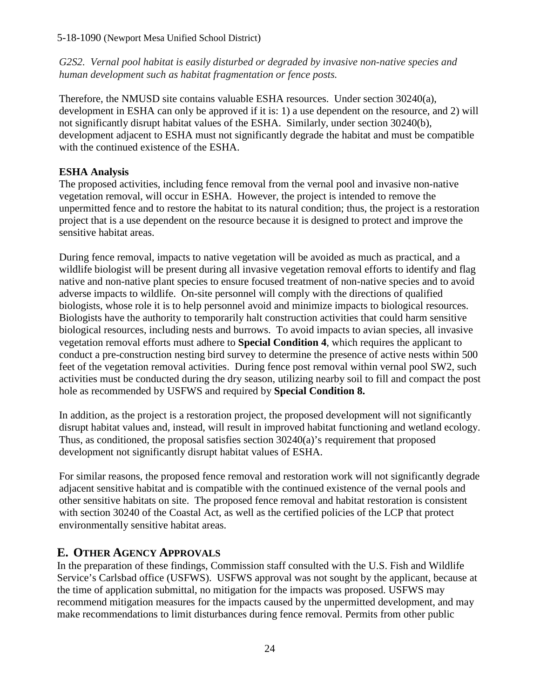#### 5-18-1090 (Newport Mesa Unified School District)

*G2S2. Vernal pool habitat is easily disturbed or degraded by invasive non-native species and human development such as habitat fragmentation or fence posts.*

Therefore, the NMUSD site contains valuable ESHA resources. Under section 30240(a), development in ESHA can only be approved if it is: 1) a use dependent on the resource, and 2) will not significantly disrupt habitat values of the ESHA. Similarly, under section 30240(b), development adjacent to ESHA must not significantly degrade the habitat and must be compatible with the continued existence of the ESHA.

#### **ESHA Analysis**

The proposed activities, including fence removal from the vernal pool and invasive non-native vegetation removal, will occur in ESHA. However, the project is intended to remove the unpermitted fence and to restore the habitat to its natural condition; thus, the project is a restoration project that is a use dependent on the resource because it is designed to protect and improve the sensitive habitat areas.

During fence removal, impacts to native vegetation will be avoided as much as practical, and a wildlife biologist will be present during all invasive vegetation removal efforts to identify and flag native and non-native plant species to ensure focused treatment of non-native species and to avoid adverse impacts to wildlife. On-site personnel will comply with the directions of qualified biologists, whose role it is to help personnel avoid and minimize impacts to biological resources. Biologists have the authority to temporarily halt construction activities that could harm sensitive biological resources, including nests and burrows. To avoid impacts to avian species, all invasive vegetation removal efforts must adhere to **Special Condition 4**, which requires the applicant to conduct a pre-construction nesting bird survey to determine the presence of active nests within 500 feet of the vegetation removal activities. During fence post removal within vernal pool SW2, such activities must be conducted during the dry season, utilizing nearby soil to fill and compact the post hole as recommended by USFWS and required by **Special Condition 8.**

In addition, as the project is a restoration project, the proposed development will not significantly disrupt habitat values and, instead, will result in improved habitat functioning and wetland ecology. Thus, as conditioned, the proposal satisfies section 30240(a)'s requirement that proposed development not significantly disrupt habitat values of ESHA.

For similar reasons, the proposed fence removal and restoration work will not significantly degrade adjacent sensitive habitat and is compatible with the continued existence of the vernal pools and other sensitive habitats on site. The proposed fence removal and habitat restoration is consistent with section 30240 of the Coastal Act, as well as the certified policies of the LCP that protect environmentally sensitive habitat areas.

## <span id="page-23-0"></span>**E. OTHER AGENCY APPROVALS**

In the preparation of these findings, Commission staff consulted with the U.S. Fish and Wildlife Service's Carlsbad office (USFWS). USFWS approval was not sought by the applicant, because at the time of application submittal, no mitigation for the impacts was proposed. USFWS may recommend mitigation measures for the impacts caused by the unpermitted development, and may make recommendations to limit disturbances during fence removal. Permits from other public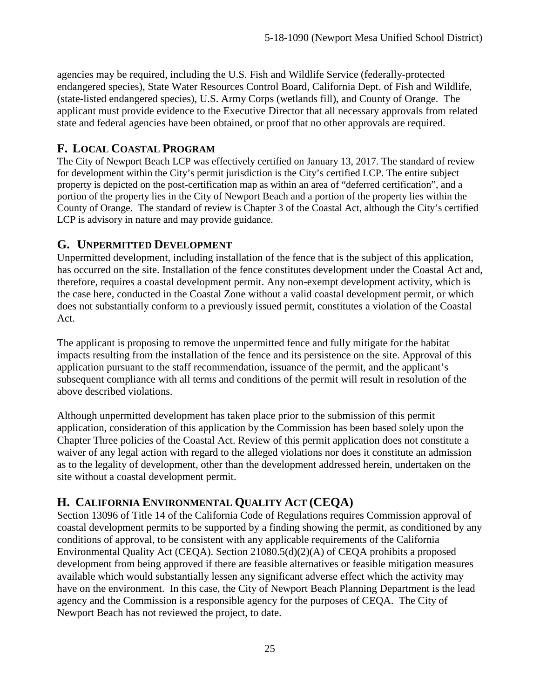agencies may be required, including the U.S. Fish and Wildlife Service (federally-protected endangered species), State Water Resources Control Board, California Dept. of Fish and Wildlife, (state-listed endangered species), U.S. Army Corps (wetlands fill), and County of Orange. The applicant must provide evidence to the Executive Director that all necessary approvals from related state and federal agencies have been obtained, or proof that no other approvals are required.

## <span id="page-24-0"></span>**F. LOCAL COASTAL PROGRAM**

The City of Newport Beach LCP was effectively certified on January 13, 2017. The standard of review for development within the City's permit jurisdiction is the City's certified LCP. The entire subject property is depicted on the post-certification map as within an area of "deferred certification", and a portion of the property lies in the City of Newport Beach and a portion of the property lies within the County of Orange. The standard of review is Chapter 3 of the Coastal Act, although the City's certified LCP is advisory in nature and may provide guidance.

## <span id="page-24-1"></span>**G. UNPERMITTED DEVELOPMENT**

Unpermitted development, including installation of the fence that is the subject of this application, has occurred on the site. Installation of the fence constitutes development under the Coastal Act and, therefore, requires a coastal development permit. Any non-exempt development activity, which is the case here, conducted in the Coastal Zone without a valid coastal development permit, or which does not substantially conform to a previously issued permit, constitutes a violation of the Coastal Act.

The applicant is proposing to remove the unpermitted fence and fully mitigate for the habitat impacts resulting from the installation of the fence and its persistence on the site. Approval of this application pursuant to the staff recommendation, issuance of the permit, and the applicant's subsequent compliance with all terms and conditions of the permit will result in resolution of the above described violations.

Although unpermitted development has taken place prior to the submission of this permit application, consideration of this application by the Commission has been based solely upon the Chapter Three policies of the Coastal Act. Review of this permit application does not constitute a waiver of any legal action with regard to the alleged violations nor does it constitute an admission as to the legality of development, other than the development addressed herein, undertaken on the site without a coastal development permit.

## <span id="page-24-2"></span>**H. CALIFORNIA ENVIRONMENTAL QUALITY ACT (CEQA)**

Section 13096 of Title 14 of the California Code of Regulations requires Commission approval of coastal development permits to be supported by a finding showing the permit, as conditioned by any conditions of approval, to be consistent with any applicable requirements of the California Environmental Quality Act (CEQA). Section 21080.5(d)(2)(A) of CEQA prohibits a proposed development from being approved if there are feasible alternatives or feasible mitigation measures available which would substantially lessen any significant adverse effect which the activity may have on the environment. In this case, the City of Newport Beach Planning Department is the lead agency and the Commission is a responsible agency for the purposes of CEQA. The City of Newport Beach has not reviewed the project, to date.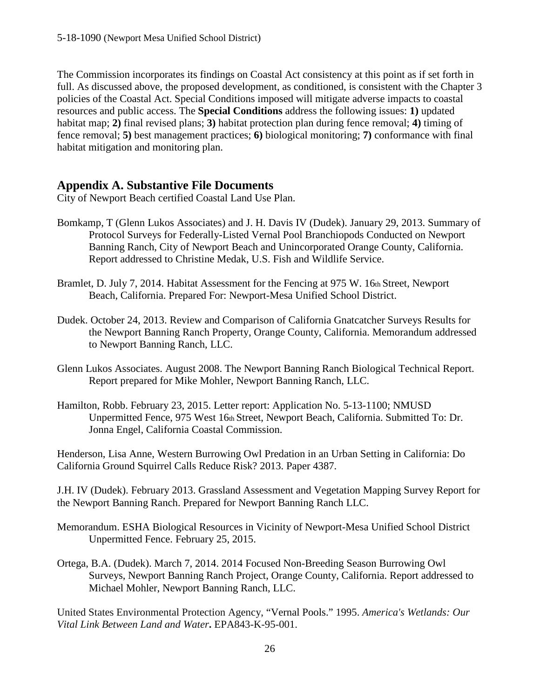The Commission incorporates its findings on Coastal Act consistency at this point as if set forth in full. As discussed above, the proposed development, as conditioned, is consistent with the Chapter 3 policies of the Coastal Act. Special Conditions imposed will mitigate adverse impacts to coastal resources and public access. The **Special Conditions** address the following issues: **1)** updated habitat map; **2)** final revised plans; **3)** habitat protection plan during fence removal; **4)** timing of fence removal; **5)** best management practices; **6)** biological monitoring; **7)** conformance with final habitat mitigation and monitoring plan.

## <span id="page-25-0"></span>**Appendix A. Substantive File Documents**

City of Newport Beach certified Coastal Land Use Plan.

- Bomkamp, T (Glenn Lukos Associates) and J. H. Davis IV (Dudek). January 29, 2013. Summary of Protocol Surveys for Federally-Listed Vernal Pool Branchiopods Conducted on Newport Banning Ranch, City of Newport Beach and Unincorporated Orange County, California. Report addressed to Christine Medak, U.S. Fish and Wildlife Service.
- Bramlet, D. July 7, 2014. Habitat Assessment for the Fencing at 975 W. 16th Street, Newport Beach, California. Prepared For: Newport-Mesa Unified School District.
- Dudek. October 24, 2013. Review and Comparison of California Gnatcatcher Surveys Results for the Newport Banning Ranch Property, Orange County, California. Memorandum addressed to Newport Banning Ranch, LLC.
- Glenn Lukos Associates. August 2008. The Newport Banning Ranch Biological Technical Report. Report prepared for Mike Mohler, Newport Banning Ranch, LLC.
- Hamilton, Robb. February 23, 2015. Letter report: Application No. 5-13-1100; NMUSD Unpermitted Fence, 975 West 16th Street, Newport Beach, California. Submitted To: Dr. Jonna Engel, California Coastal Commission.

Henderson, Lisa Anne, Western Burrowing Owl Predation in an Urban Setting in California: Do California Ground Squirrel Calls Reduce Risk? 2013. Paper 4387.

J.H. IV (Dudek). February 2013. Grassland Assessment and Vegetation Mapping Survey Report for the Newport Banning Ranch. Prepared for Newport Banning Ranch LLC.

- Memorandum. ESHA Biological Resources in Vicinity of Newport-Mesa Unified School District Unpermitted Fence. February 25, 2015.
- Ortega, B.A. (Dudek). March 7, 2014. 2014 Focused Non-Breeding Season Burrowing Owl Surveys, Newport Banning Ranch Project, Orange County, California. Report addressed to Michael Mohler, Newport Banning Ranch, LLC.

United States Environmental Protection Agency, "Vernal Pools." 1995. *America's Wetlands: Our Vital Link Between Land and Water***.** EPA843-K-95-001.